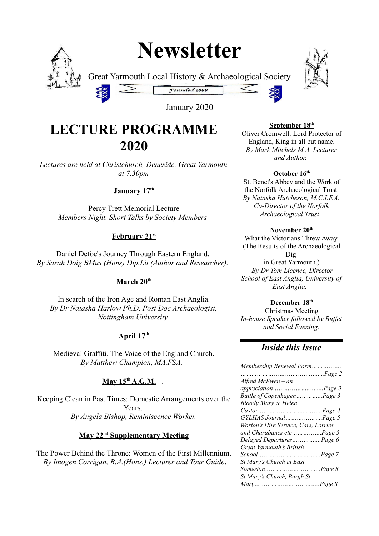# **Newsletter**



Great Yarmouth Local History & Archaeological Society



January 2020

Founded 1888

# **LECTURE PROGRAMME 2020**

*Lectures are held at Christchurch, Deneside, Great Yarmouth at 7.30pm*

### **January 17th**

Percy Trett Memorial Lecture *Members Night. Short Talks by Society Members* 

### **February 21st**

Daniel Defoe's Journey Through Eastern England. *By Sarah Doig BMus (Hons) Dip.Lit (Author and Researcher).* 

### **March 20th**

In search of the Iron Age and Roman East Anglia. *By Dr Natasha Harlow Ph.D, Post Doc Archaeologist, Nottingham University.*

### **April 17th**

Medieval Graffiti. The Voice of the England Church. *By Matthew Champion, MA,FSA.* 

### **May 15<sup>th</sup> A.G.M.** .

Keeping Clean in Past Times: Domestic Arrangements over the Years. *By Angela Bishop, Reminiscence Worker.*

### **May 22nd Supplementary Meeting**

The Power Behind the Throne: Women of the First Millennium.  *By Imogen Corrigan, B.A.(Hons.) Lecturer and Tour Guide*.

#### **September 18th**

Oliver Cromwell: Lord Protector of England, King in all but name. *By Mark Mitchels M.A. Lecturer and Author.* 

### **October 16th**

St. Benet's Abbey and the Work of the Norfolk Archaeological Trust. *By Natasha Hutcheson, M.C.I.F.A. Co-Director of the Norfolk Archaeological Trust* 

#### **November 20th**

What the Victorians Threw Away. (The Results of the Archaeological Dig in Great Yarmouth.) *By Dr Tom Licence, Director School of East Anglia, University of East Anglia.* 

#### **December 18th**

Christmas Meeting *In-house Speaker followed by Buffet and Social Evening.*

### *Inside this Issue*

| Membership Renewal Form                                                     |  |
|-----------------------------------------------------------------------------|--|
|                                                                             |  |
| Alfred McEwen – an                                                          |  |
| appreciationPage 3                                                          |  |
| Battle of CopenhagenPage 3                                                  |  |
| Bloody Mary & Helen                                                         |  |
| $Castor \dots \dots \dots \dots \dots \dots \dots \dots \dots \cdot Page 4$ |  |
| GYLHAS JournalPage 5                                                        |  |
| Worton's Hire Service, Cars, Lorries                                        |  |
| and Charabancs etcPage 5                                                    |  |
| Delayed DeparturesPage 6                                                    |  |
| Great Yarmouth's British                                                    |  |
|                                                                             |  |
| St Mary's Church at East                                                    |  |
|                                                                             |  |
| St Mary's Church, Burgh St                                                  |  |
|                                                                             |  |
|                                                                             |  |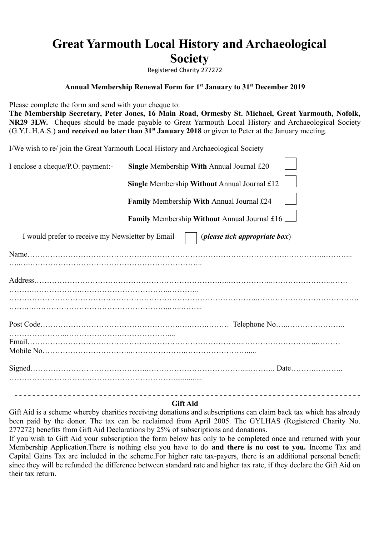# **Great Yarmouth Local History and Archaeological Society**

Registered Charity 277272

#### **Annual Membership Renewal Form for 1st January to 31st December 2019**

Please complete the form and send with your cheque to: **The Membership Secretary, Peter Jones, 16 Main Road, Ormesby St. Michael, Great Yarmouth, Nofolk, NR29 3LW.** Cheques should be made payable to Great Yarmouth Local History and Archaeological Society (G.Y.L.H.A.S.) **and received no later than 31st January 2018** or given to Peter at the January meeting.

I/We wish to re/ join the Great Yarmouth Local History and Archaeological Society

| I enclose a cheque/P.O. payment:-                | Single Membership With Annual Journal £20    |
|--------------------------------------------------|----------------------------------------------|
|                                                  | Single Membership Without Annual Journal £12 |
|                                                  | Family Membership With Annual Journal £24    |
|                                                  | Family Membership Without Annual Journal £16 |
| I would prefer to receive my Newsletter by Email | ( <i>please tick appropriate box</i> )       |
|                                                  |                                              |
|                                                  |                                              |
|                                                  |                                              |
|                                                  |                                              |
|                                                  |                                              |
|                                                  |                                              |
|                                                  |                                              |
|                                                  |                                              |
|                                                  |                                              |
|                                                  |                                              |

#### **Gift Aid**

Gift Aid is a scheme whereby charities receiving donations and subscriptions can claim back tax which has already been paid by the donor. The tax can be reclaimed from April 2005. The GYLHAS (Registered Charity No. 277272) benefits from Gift Aid Declarations by 25% of subscriptions and donations.

If you wish to Gift Aid your subscription the form below has only to be completed once and returned with your Membership Application.There is nothing else you have to do **and there is no cost to you.** Income Tax and Capital Gains Tax are included in the scheme.For higher rate tax-payers, there is an additional personal benefit since they will be refunded the difference between standard rate and higher tax rate, if they declare the Gift Aid on their tax return.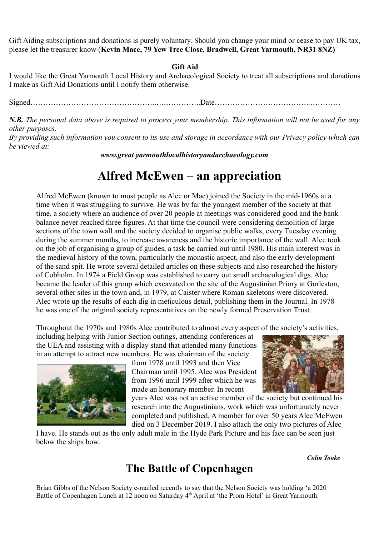Gift Aiding subscriptions and donations is purely voluntary. Should you change your mind or cease to pay UK tax, please let the treasurer know (**Kevin Mace, 79 Yew Tree Close, Bradwell, Great Yarmouth, NR31 8NZ)**

#### **Gift Aid**

I would like the Great Yarmouth Local History and Archaeological Society to treat all subscriptions and donations I make as Gift Aid Donations until I notify them otherwise.

Signed…………………………………………..….…………..Date………………………………..…………

*N.B. The personal data above is required to process your membership. This information will not be used for any other purposes.*

*By providing such information you consent to its use and storage in accordance with our Privacy policy which can be viewed at:*

*www.great yarmouthlocalhistoryandarchaeology.com*

# **Alfred McEwen – an appreciation**

Alfred McEwen (known to most people as Alec or Mac) joined the Society in the mid-1960s at a time when it was struggling to survive. He was by far the youngest member of the society at that time, a society where an audience of over 20 people at meetings was considered good and the bank balance never reached three figures. At that time the council were considering demolition of large sections of the town wall and the society decided to organise public walks, every Tuesday evening during the summer months, to increase awareness and the historic importance of the wall. Alec took on the job of organising a group of guides, a task he carried out until 1980. His main interest was in the medieval history of the town, particularly the monastic aspect, and also the early development of the sand spit. He wrote several detailed articles on these subjects and also researched the history of Cobholm. In 1974 a Field Group was established to carry out small archaeological digs. Alec became the leader of this group which excavated on the site of the Augustinian Priory at Gorleston, several other sites in the town and, in 1979, at Caister where Roman skeletons were discovered. Alec wrote up the results of each dig in meticulous detail, publishing them in the Journal. In 1978 he was one of the original society representatives on the newly formed Preservation Trust.

Throughout the 1970s and 1980s Alec contributed to almost every aspect of the society's activities,

including helping with Junior Section outings, attending conferences at the UEA and assisting with a display stand that attended many functions in an attempt to attract new members. He was chairman of the society



from 1978 until 1993 and then Vice Chairman until 1995. Alec was President from 1996 until 1999 after which he was made an honorary member. In recent



years Alec was not an active member of the society but continued his research into the Augustinians, work which was unfortunately never completed and published. A member for over 50 years Alec McEwen died on 3 December 2019. I also attach the only two pictures of Alec

I have. He stands out as the only adult male in the Hyde Park Picture and his face can be seen just below the ships bow.

### **The Battle of Copenhagen**

*Colin Tooke*

Brian Gibbs of the Nelson Society e-mailed recently to say that the Nelson Society was holding 'a 2020 Battle of Copenhagen Lunch at 12 noon on Saturday 4<sup>th</sup> April at 'the Prom Hotel' in Great Yarmouth.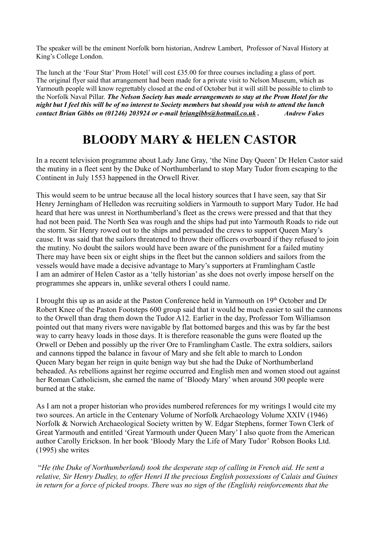The speaker will be the eminent Norfolk born historian, Andrew Lambert, Professor of Naval History at King's College London.

The lunch at the 'Four Star' Prom Hotel' will cost £35.00 for three courses including a glass of port. The original flyer said that arrangement had been made for a private visit to Nelson Museum, which as Yarmouth people will know regrettably closed at the end of October but it will still be possible to climb to the Norfolk Naval Pillar. *The Nelson Society has made arrangements to stay at the Prom Hotel for the night but I feel this will be of no interest to Society members but should you wish to attend the lunch contact Brian Gibbs on (01246) 203924 or e-mail briangibbs@hotmail.co.uk . Andrew Fakes*

# **BLOODY MARY & HELEN CASTOR**

In a recent television programme about Lady Jane Gray, 'the Nine Day Queen' Dr Helen Castor said the mutiny in a fleet sent by the Duke of Northumberland to stop Mary Tudor from escaping to the Continent in July 1553 happened in the Orwell River.

This would seem to be untrue because all the local history sources that I have seen, say that Sir Henry Jerningham of Helledon was recruiting soldiers in Yarmouth to support Mary Tudor. He had heard that here was unrest in Northumberland's fleet as the crews were pressed and that that they had not been paid. The North Sea was rough and the ships had put into Yarmouth Roads to ride out the storm. Sir Henry rowed out to the ships and persuaded the crews to support Queen Mary's cause. It was said that the sailors threatened to throw their officers overboard if they refused to join the mutiny. No doubt the sailors would have been aware of the punishment for a failed mutiny There may have been six or eight ships in the fleet but the cannon soldiers and sailors from the vessels would have made a decisive advantage to Mary's supporters at Framlingham Castle I am an admirer of Helen Castor as a 'telly historian' as she does not overly impose herself on the programmes she appears in, unlike several others I could name.

I brought this up as an aside at the Paston Conference held in Yarmouth on 19th October and Dr Robert Knee of the Paston Footsteps 600 group said that it would be much easier to sail the cannons to the Orwell than drag them down the Tudor A12. Earlier in the day, Professor Tom Williamson pointed out that many rivers were navigable by flat bottomed barges and this was by far the best way to carry heavy loads in those days. It is therefore reasonable the guns were floated up the Orwell or Deben and possibly up the river Ore to Framlingham Castle. The extra soldiers, sailors and cannons tipped the balance in favour of Mary and she felt able to march to London Queen Mary began her reign in quite benign way but she had the Duke of Northumberland beheaded. As rebellions against her regime occurred and English men and women stood out against her Roman Catholicism, she earned the name of 'Bloody Mary' when around 300 people were burned at the stake.

As I am not a proper historian who provides numbered references for my writings I would cite my two sources. An article in the Centenary Volume of Norfolk Archaeology Volume XXIV (1946) Norfolk & Norwich Archaeological Society written by W. Edgar Stephens, former Town Clerk of Great Yarmouth and entitled 'Great Yarmouth under Queen Mary' I also quote from the American author Carolly Erickson. In her book 'Bloody Mary the Life of Mary Tudor' Robson Books Ltd. (1995) she writes

 "*He (the Duke of Northumberland) took the desperate step of calling in French aid. He sent a relative, Sir Henry Dudley, to offer Henri II the precious English possessions of Calais and Guines in return for a force of picked troops. There was no sign of the (English) reinforcements that the*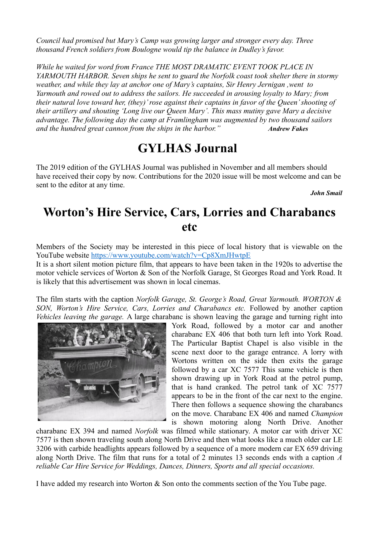*Council had promised but Mary's Camp was growing larger and stronger every day. Three thousand French soldiers from Boulogne would tip the balance in Dudley's favor.*

*While he waited for word from France THE MOST DRAMATIC EVENT TOOK PLACE IN YARMOUTH HARBOR. Seven ships he sent to guard the Norfolk coast took shelter there in stormy weather, and while they lay at anchor one of Mary's captains, Sir Henry Jernigan ,went to Yarmouth and rowed out to address the sailors. He succeeded in arousing loyalty to Mary; from their natural love toward her, (they)' rose against their captains in favor of the Queen' shooting of their artillery and shouting 'Long live our Queen Mary'. This mass mutiny gave Mary a decisive advantage. The following day the camp at Framlingham was augmented by two thousand sailors and the hundred great cannon from the ships in the harbor." Andrew Fakes*

# **GYLHAS Journal**

The 2019 edition of the GYLHAS Journal was published in November and all members should have received their copy by now. Contributions for the 2020 issue will be most welcome and can be sent to the editor at any time.

*John Smail*

# **Worton's Hire Service, Cars, Lorries and Charabancs etc**

Members of the Society may be interested in this piece of local history that is viewable on the YouTube website<https://www.youtube.com/watch?v=Cp8XmJHwtpE>

It is a short silent motion picture film, that appears to have been taken in the 1920s to advertise the motor vehicle services of Worton & Son of the Norfolk Garage, St Georges Road and York Road. It is likely that this advertisement was shown in local cinemas.

The film starts with the caption *Norfolk Garage, St. George's Road, Great Yarmouth. WORTON & SON, Worton's Hire Service, Cars, Lorries and Charabancs etc.* Followed by another caption *Vehicles leaving the garage.* A large charabanc is shown leaving the garage and turning right into



York Road, followed by a motor car and another charabanc EX 406 that both turn left into York Road. The Particular Baptist Chapel is also visible in the scene next door to the garage entrance. A lorry with Wortons written on the side then exits the garage followed by a car XC 7577 This same vehicle is then shown drawing up in York Road at the petrol pump, that is hand cranked. The petrol tank of XC 7577 appears to be in the front of the car next to the engine. There then follows a sequence showing the charabancs on the move. Charabanc EX 406 and named *Champion* is shown motoring along North Drive. Another

charabanc EX 394 and named *Norfolk* was filmed while stationary. A motor car with driver XC 7577 is then shown traveling south along North Drive and then what looks like a much older car LE 3206 with carbide headlights appears followed by a sequence of a more modern car EX 659 driving along North Drive. The film that runs for a total of 2 minutes 13 seconds ends with a caption *A reliable Car Hire Service for Weddings, Dances, Dinners, Sports and all special occasions.*

I have added my research into Worton & Son onto the comments section of the You Tube page.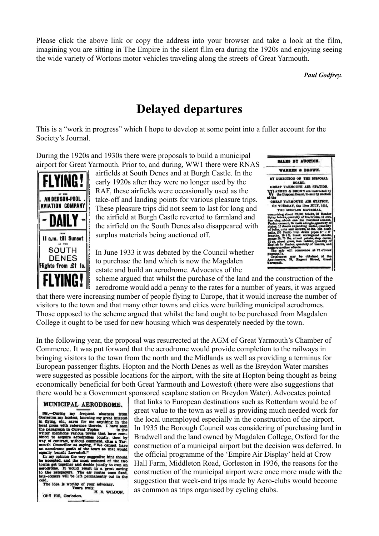Please click the above link or copy the address into your browser and take a look at the film, imagining you are sitting in The Empire in the silent film era during the 1920s and enjoying seeing the wide variety of Wortons motor vehicles traveling along the streets of Great Yarmouth.

*Paul Godfrey.*

### **Delayed departures**

This is a "work in progress" which I hope to develop at some point into a fuller account for the Society's Journal.

During the 1920s and 1930s there were proposals to build a municipal airport for Great Yarmouth. Prior to, and during, WW1 there were RNAS



airfields at South Denes and at Burgh Castle. In the early 1920s after they were no longer used by the RAF, these airfields were occasionally used as the take-off and landing points for various pleasure trips. These pleasure trips did not seem to last for long and the airfield at Burgh Castle reverted to farmland and the airfield on the South Denes also disappeared with surplus materials being auctioned off.

In June 1933 it was debated by the Council whether to purchase the land which is now the Magdalen estate and build an aerodrome. Advocates of the



scheme argued that whilst the purchase of the land and the construction of the aerodrome would add a penny to the rates for a number of years, it was argued that there were increasing number of people flying to Europe, that it would increase the number of visitors to the town and that many other towns and cities were building municipal aerodromes. Those opposed to the scheme argued that whilst the land ought to be purchased from Magdalen College it ought to be used for new housing which was desperately needed by the town.

In the following year, the proposal was resurrected at the AGM of Great Yarmouth's Chamber of Commerce. It was put forward that the aerodrome would provide completion to the railways in bringing visitors to the town from the north and the Midlands as well as providing a terminus for European passenger flights. Hopton and the North Denes as well as the Breydon Water marshes were suggested as possible locations for the airport, with the site at Hopton being thought as being economically beneficial for both Great Yarmouth and Lowestoft (there were also suggestions that there would be a Government sponsored seaplane station on Breydon Water). Advocates pointed

#### MUNICIPAL AERODROME.

old.<br>The idea is worthy of your advocacy.<br>Yours truly,<br>H. E. WILLDON. Cliff Hill, Gorleston.

that links to European destinations such as Rotterdam would be of great value to the town as well as providing much needed work for the local unemployed especially in the construction of the airport. In 1935 the Borough Council was considering of purchasing land in Bradwell and the land owned by Magdalen College, Oxford for the construction of a municipal airport but the decision was deferred. In the official programme of the 'Empire Air Display' held at Crow Hall Farm, Middleton Road, Gorleston in 1936, the reasons for the construction of the municipal airport were once more made with the suggestion that week-end trips made by Aero-clubs would become as common as trips organised by cycling clubs.

IN OUNTRUCE ALL ALCOLUTION.<br>
Sir,-During my frequent absences from<br>
Grieston my hostess, knowing my great interest<br>
In figing, etc., saves for me anything in the<br>
local press with reference thereto. I have seen<br>
the paragr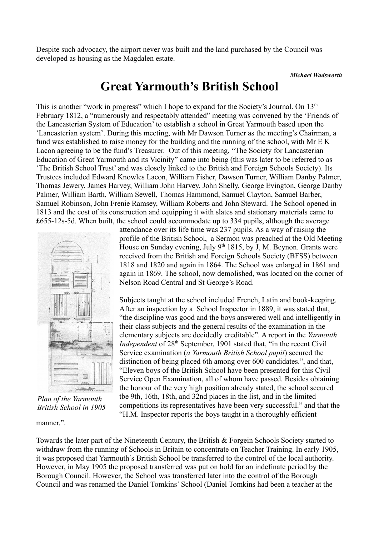Despite such advocacy, the airport never was built and the land purchased by the Council was developed as housing as the Magdalen estate.

#### *Michael Wadsworth*

### **Great Yarmouth's British School**

This is another "work in progress" which I hope to expand for the Society's Journal. On 13<sup>th</sup> February 1812, a "numerously and respectably attended" meeting was convened by the 'Friends of the Lancasterian System of Education' to establish a school in Great Yarmouth based upon the 'Lancasterian system'. During this meeting, with Mr Dawson Turner as the meeting's Chairman, a fund was established to raise money for the building and the running of the school, with Mr E K Lacon agreeing to be the fund's Treasurer. Out of this meeting, "The Society for Lancasterian Education of Great Yarmouth and its Vicinity" came into being (this was later to be referred to as 'The British School Trust' and was closely linked to the British and Foreign Schools Society). Its Trustees included Edward Knowles Lacon, William Fisher, Dawson Turner, William Danby Palmer, Thomas Jewery, James Harvey, William John Harvey, John Shelly, George Evington, George Danby Palmer, William Barth, William Sewell, Thomas Hammond, Samuel Clayton, Samuel Barber, Samuel Robinson, John Frenie Ramsey, William Roberts and John Steward. The School opened in 1813 and the cost of its construction and equipping it with slates and stationary materials came to £655-12s-5d. When built, the school could accommodate up to 334 pupils, although the average



*Plan of the Yarmouth British School in 1905*

manner."

attendance over its life time was 237 pupils. As a way of raising the profile of the British School, a Sermon was preached at the Old Meeting House on Sunday evening, July  $9<sup>th</sup> 1815$ , by J, M. Beynon. Grants were received from the British and Foreign Schools Society (BFSS) between 1818 and 1820 and again in 1864. The School was enlarged in 1861 and again in 1869. The school, now demolished, was located on the corner of Nelson Road Central and St George's Road.

Subjects taught at the school included French, Latin and book-keeping. After an inspection by a School Inspector in 1889, it was stated that, "the discipline was good and the boys answered well and intelligently in their class subjects and the general results of the examination in the elementary subjects are decidedly creditable". A report in the *Yarmouth Independent* of 28<sup>th</sup> September, 1901 stated that, "in the recent Civil Service examination (*a Yarmouth British School pupil*) secured the distinction of being placed 6th among over 600 candidates.", and that, "Eleven boys of the British School have been presented for this Civil Service Open Examination, all of whom have passed. Besides obtaining the honour of the very high position already stated, the school secured tbe 9th, 16th, 18th, and 32nd places in the list, and in the limited competitions its representatives have been very successful." and that the "H.M. Inspector reports the boys taught in a thoroughly efficient

Towards the later part of the Nineteenth Century, the British & Forgein Schools Society started to withdraw from the running of Schools in Britain to concentrate on Teacher Training. In early 1905, it was proposed that Yarmouth's British School be transferred to the control of the local authority. However, in May 1905 the proposed transferred was put on hold for an indefinate period by the Borough Council. However, the School was transferred later into the control of the Borough Council and was renamed the Daniel Tomkins' School (Daniel Tomkins had been a teacher at the